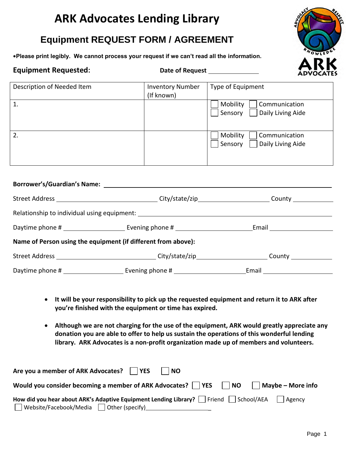# **ARK Advocates Lending Library**

## **Equipment REQUEST FORM / AGREEMENT**

**Please print legibly. We cannot process your request if we can't read all the information.** 



### **Equipment Requested: Date of Request Date of Request**

| Description of Needed Item | <b>Inventory Number</b><br>(If known) | Type of Equipment                                         |
|----------------------------|---------------------------------------|-----------------------------------------------------------|
|                            |                                       | Mobility<br>Communication<br>Daily Living Aide<br>Sensory |
| 2.                         |                                       | Mobility<br>Communication<br>Daily Living Aide<br>Sensory |

|                                      |                                                                                                                | County <u>county</u>     |  |  |
|--------------------------------------|----------------------------------------------------------------------------------------------------------------|--------------------------|--|--|
|                                      |                                                                                                                |                          |  |  |
|                                      |                                                                                                                | Email __________________ |  |  |
|                                      | Name of Person using the equipment (if different from above):                                                  |                          |  |  |
|                                      | Street Address ________________________________City/state/zip________________________County __________________ |                          |  |  |
| Daytime phone # ____________________ |                                                                                                                | _Email ________________  |  |  |

- **It will be your responsibility to pick up the requested equipment and return it to ARK after you're finished with the equipment or time has expired.**
- **Although we are not charging for the use of the equipment, ARK would greatly appreciate any donation you are able to offer to help us sustain the operations of this wonderful lending library. ARK Advocates is a non-profit organization made up of members and volunteers.**

| Are you a member of ARK Advocates?     YES                                  | <b>NO</b>                                                                                                      |
|-----------------------------------------------------------------------------|----------------------------------------------------------------------------------------------------------------|
| Would you consider becoming a member of ARK Advocates? $\vert$   YES     NO | $\vert$ Maybe – More info                                                                                      |
| $\Box$ Website/Facebook/Media $\Box$ Other (specify)                        | How did you hear about ARK's Adaptive Equipment Lending Library? $\Box$ Friend $\Box$ School/AEA $\Box$ Agency |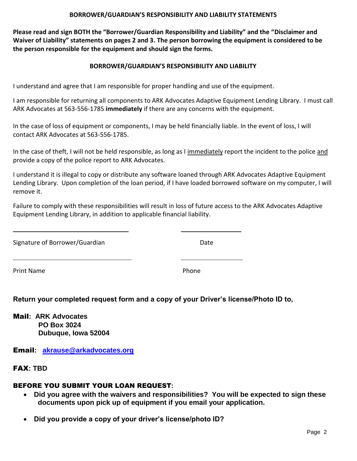#### **BORROWER/GUARDIAN'S RESPONSIBILITY AND LIABILITY STATEMENTS**

**Please read and sign BOTH the "Borrower/Guardian Responsibility and Liability" and the "Disclaimer and Waiver of Liability" statements on pages 2 and 3. The person borrowing the equipment is considered to be the person responsible for the equipment and should sign the forms.**

#### **BORROWER/GUARDIAN'S RESPONSIBILITY AND LIABILITY**

I understand and agree that I am responsible for proper handling and use of the equipment.

I am responsible for returning all components to ARK Advocates Adaptive Equipment Lending Library. I must call ARK Advocates at 563-556-1785 **immediately** if there are any concerns with the equipment.

In the case of loss of equipment or components, I may be held financially liable. In the event of loss, I will contact ARK Advocates at 563-556-1785.

In the case of theft, I will not be held responsible, as long as I immediately report the incident to the police and provide a copy of the police report to ARK Advocates.

I understand it is illegal to copy or distribute any software loaned through ARK Advocates Adaptive Equipment Lending Library. Upon completion of the loan period, if I have loaded borrowed software on my computer, I will remove it.

Failure to comply with these responsibilities will result in loss of future access to the ARK Advocates Adaptive Equipment Lending Library, in addition to applicable financial liability.

Signature of Borrower/Guardian Date

Print Name Phone

 $\overline{a}$ 

 $\overline{a}$ 

**Return your completed request form and a copy of your Driver's license/Photo ID to,**

Mail**: ARK Advocates PO Box 3024 Dubuque, Iowa 52004**

Email**: [akrause@arkadvocates.org](mailto:akrause@arkadvocates.org)**

FAX**: TBD**

### BEFORE YOU SUBMIT YOUR LOAN REQUEST**:**

- **Did you agree with the waivers and responsibilities? You will be expected to sign these documents upon pick up of equipment if you email your application.**
- **Did you provide a copy of your driver's license/photo ID?**